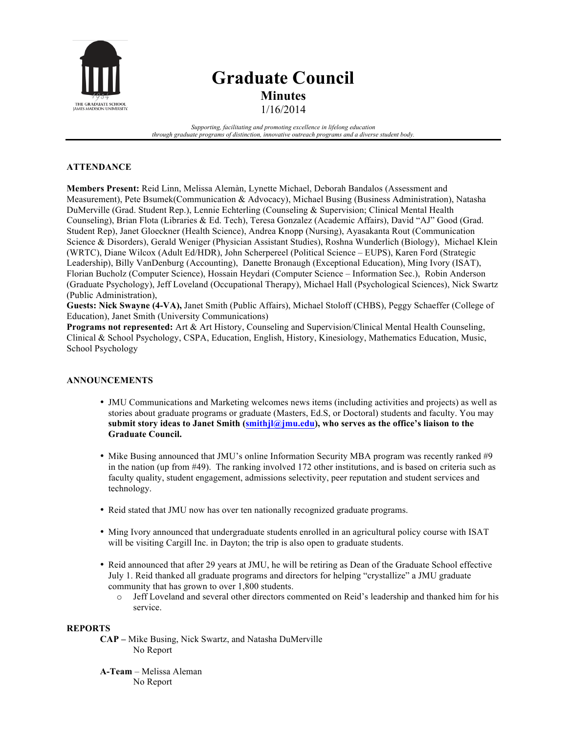

# **Graduate Council Minutes** 1/16/2014

*Supporting, facilitating and promoting excellence in lifelong education through graduate programs of distinction, innovative outreach programs and a diverse student body.*

## **ATTENDANCE**

**Members Present:** Reid Linn, Melissa Alemàn, Lynette Michael, Deborah Bandalos (Assessment and Measurement), Pete Bsumek(Communication & Advocacy), Michael Busing (Business Administration), Natasha DuMerville (Grad. Student Rep.), Lennie Echterling (Counseling & Supervision; Clinical Mental Health Counseling), Brian Flota (Libraries & Ed. Tech), Teresa Gonzalez (Academic Affairs), David "AJ" Good (Grad. Student Rep), Janet Gloeckner (Health Science), Andrea Knopp (Nursing), Ayasakanta Rout (Communication Science & Disorders), Gerald Weniger (Physician Assistant Studies), Roshna Wunderlich (Biology), Michael Klein (WRTC), Diane Wilcox (Adult Ed/HDR), John Scherpereel (Political Science – EUPS), Karen Ford (Strategic Leadership), Billy VanDenburg (Accounting), Danette Bronaugh (Exceptional Education), Ming Ivory (ISAT), Florian Bucholz (Computer Science), Hossain Heydari (Computer Science – Information Sec.), Robin Anderson (Graduate Psychology), Jeff Loveland (Occupational Therapy), Michael Hall (Psychological Sciences), Nick Swartz (Public Administration),

**Guests: Nick Swayne (4-VA),** Janet Smith (Public Affairs), Michael Stoloff (CHBS), Peggy Schaeffer (College of Education), Janet Smith (University Communications)

**Programs not represented:** Art & Art History, Counseling and Supervision/Clinical Mental Health Counseling, Clinical & School Psychology, CSPA, Education, English, History, Kinesiology, Mathematics Education, Music, School Psychology

## **ANNOUNCEMENTS**

- JMU Communications and Marketing welcomes news items (including activities and projects) as well as stories about graduate programs or graduate (Masters, Ed.S, or Doctoral) students and faculty. You may **submit story ideas to Janet Smith (smithjl@jmu.edu), who serves as the office's liaison to the Graduate Council.**
- Mike Busing announced that JMU's online Information Security MBA program was recently ranked #9 in the nation (up from #49). The ranking involved 172 other institutions, and is based on criteria such as faculty quality, student engagement, admissions selectivity, peer reputation and student services and technology.
- Reid stated that JMU now has over ten nationally recognized graduate programs.
- Ming Ivory announced that undergraduate students enrolled in an agricultural policy course with ISAT will be visiting Cargill Inc. in Dayton; the trip is also open to graduate students.
- Reid announced that after 29 years at JMU, he will be retiring as Dean of the Graduate School effective July 1. Reid thanked all graduate programs and directors for helping "crystallize" a JMU graduate community that has grown to over 1,800 students.
	- o Jeff Loveland and several other directors commented on Reid's leadership and thanked him for his service.

## **REPORTS**

**CAP –** Mike Busing, Nick Swartz, and Natasha DuMerville No Report

**A-Team** – Melissa Aleman No Report